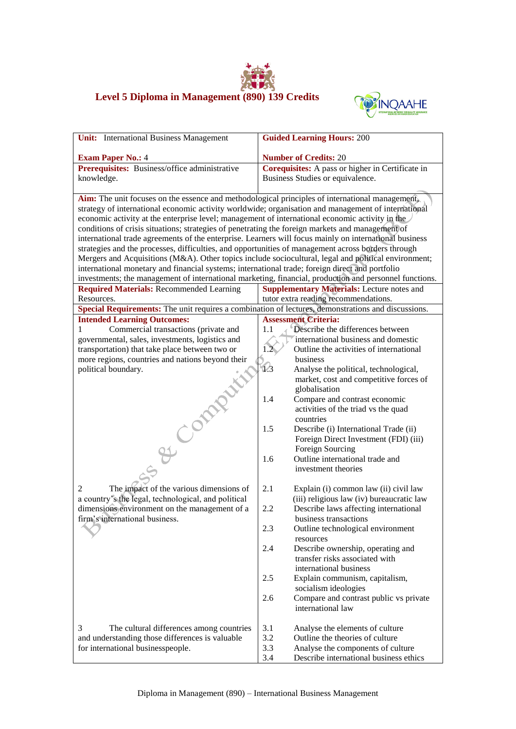## **Level 5 Diploma in Management (890) 139 Credits**



| <b>Unit:</b> International Business Management                                                         | <b>Guided Learning Hours: 200</b>                                                                      |  |
|--------------------------------------------------------------------------------------------------------|--------------------------------------------------------------------------------------------------------|--|
| <b>Exam Paper No.: 4</b>                                                                               | <b>Number of Credits: 20</b>                                                                           |  |
| Prerequisites: Business/office administrative                                                          | Corequisites: A pass or higher in Certificate in                                                       |  |
|                                                                                                        |                                                                                                        |  |
| knowledge.                                                                                             | Business Studies or equivalence.                                                                       |  |
| Aim: The unit focuses on the essence and methodological principles of international management,        |                                                                                                        |  |
| strategy of international economic activity worldwide; organisation and management of international    |                                                                                                        |  |
| economic activity at the enterprise level; management of international economic activity in the        |                                                                                                        |  |
| conditions of crisis situations; strategies of penetrating the foreign markets and management of       |                                                                                                        |  |
| international trade agreements of the enterprise. Learners will focus mainly on international business |                                                                                                        |  |
| strategies and the processes, difficulties, and opportunities of management across borders through     |                                                                                                        |  |
| Mergers and Acquisitions (M&A). Other topics include sociocultural, legal and political environment;   |                                                                                                        |  |
| international monetary and financial systems; international trade; foreign direct and portfolio        |                                                                                                        |  |
|                                                                                                        | investments; the management of international marketing, financial, production and personnel functions. |  |
| <b>Required Materials: Recommended Learning</b>                                                        | <b>Supplementary Materials:</b> Lecture notes and                                                      |  |
| Resources.                                                                                             | tutor extra reading recommendations.                                                                   |  |
| Special Requirements: The unit requires a combination of lectures, demonstrations and discussions.     |                                                                                                        |  |
| <b>Intended Learning Outcomes:</b>                                                                     | <b>Assessment Criteria:</b>                                                                            |  |
| Commercial transactions (private and<br>1                                                              | Describe the differences between<br>1.1                                                                |  |
| governmental, sales, investments, logistics and                                                        | international business and domestic                                                                    |  |
| transportation) that take place between two or                                                         | Outline the activities of international<br>1.2 <sub>2</sub>                                            |  |
| more regions, countries and nations beyond their                                                       | business                                                                                               |  |
| political boundary.                                                                                    | 1/3<br>Analyse the political, technological,                                                           |  |
|                                                                                                        | market, cost and competitive forces of                                                                 |  |
|                                                                                                        | globalisation                                                                                          |  |
|                                                                                                        | 1.4<br>Compare and contrast economic                                                                   |  |
|                                                                                                        | activities of the triad vs the quad                                                                    |  |
| Com                                                                                                    | countries                                                                                              |  |
|                                                                                                        | 1.5<br>Describe (i) International Trade (ii)                                                           |  |
|                                                                                                        | Foreign Direct Investment (FDI) (iii)                                                                  |  |
|                                                                                                        | Foreign Sourcing                                                                                       |  |
|                                                                                                        | Outline international trade and<br>1.6                                                                 |  |
|                                                                                                        | investment theories                                                                                    |  |
|                                                                                                        |                                                                                                        |  |
| The impact of the various dimensions of<br>2                                                           | 2.1<br>Explain (i) common law (ii) civil law                                                           |  |
| a country's the legal, technological, and political                                                    | (iii) religious law (iv) bureaucratic law                                                              |  |
| dimensions environment on the management of a                                                          | Describe laws affecting international<br>2.2                                                           |  |
| firm's international business.                                                                         | business transactions                                                                                  |  |
|                                                                                                        | 2.3<br>Outline technological environment                                                               |  |
|                                                                                                        | resources                                                                                              |  |
|                                                                                                        | 2.4<br>Describe ownership, operating and                                                               |  |
|                                                                                                        | transfer risks associated with                                                                         |  |
|                                                                                                        | international business                                                                                 |  |
|                                                                                                        | 2.5<br>Explain communism, capitalism,                                                                  |  |
|                                                                                                        | socialism ideologies                                                                                   |  |
|                                                                                                        | 2.6<br>Compare and contrast public vs private                                                          |  |
|                                                                                                        | international law                                                                                      |  |
|                                                                                                        |                                                                                                        |  |
| 3<br>The cultural differences among countries                                                          | 3.1<br>Analyse the elements of culture                                                                 |  |
| and understanding those differences is valuable                                                        | 3.2<br>Outline the theories of culture                                                                 |  |
| for international businesspeople.                                                                      | 3.3<br>Analyse the components of culture                                                               |  |
|                                                                                                        | Describe international business ethics<br>3.4                                                          |  |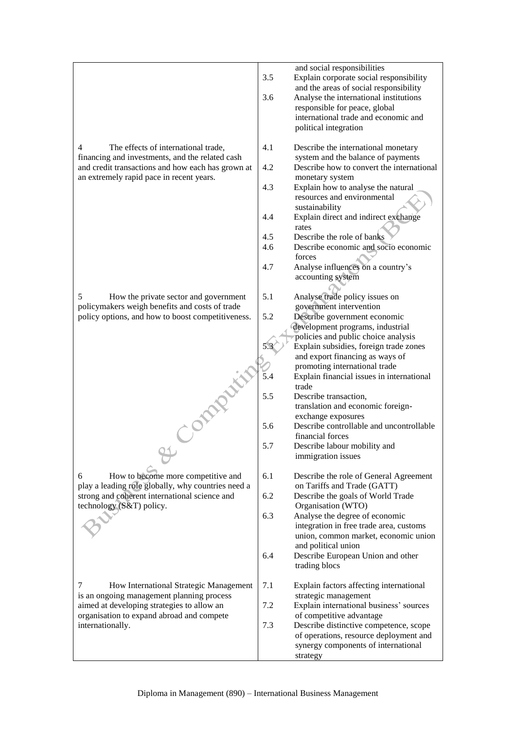|                                                                                               | 3.5 | and social responsibilities<br>Explain corporate social responsibility<br>and the areas of social responsibility  |
|-----------------------------------------------------------------------------------------------|-----|-------------------------------------------------------------------------------------------------------------------|
|                                                                                               | 3.6 | Analyse the international institutions<br>responsible for peace, global                                           |
|                                                                                               |     | international trade and economic and<br>political integration                                                     |
| The effects of international trade,<br>4<br>financing and investments, and the related cash   | 4.1 | Describe the international monetary<br>system and the balance of payments                                         |
| and credit transactions and how each has grown at<br>an extremely rapid pace in recent years. | 4.2 | Describe how to convert the international<br>monetary system                                                      |
|                                                                                               | 4.3 | Explain how to analyse the natural<br>resources and environmental<br>sustainability                               |
|                                                                                               | 4.4 | Explain direct and indirect exchange<br>rates                                                                     |
|                                                                                               | 4.5 | Describe the role of banks                                                                                        |
|                                                                                               | 4.6 | Describe economic and socio economic<br>forces                                                                    |
|                                                                                               | 4.7 | Analyse influences on a country's<br>accounting system                                                            |
| 5<br>How the private sector and government<br>policymakers weigh benefits and costs of trade  | 5.1 | Analyse trade policy issues on<br>government intervention                                                         |
| policy options, and how to boost competitiveness.                                             | 5.2 | Describe government economic<br>development programs, industrial                                                  |
|                                                                                               |     | policies and public choice analysis<br>Explain subsidies, foreign trade zones                                     |
|                                                                                               |     | and export financing as ways of                                                                                   |
|                                                                                               |     | promoting international trade                                                                                     |
|                                                                                               | 5.4 | Explain financial issues in international<br>trade                                                                |
| OPPRATI                                                                                       | 5.5 | Describe transaction,<br>translation and economic foreign-                                                        |
|                                                                                               |     | exchange exposures                                                                                                |
|                                                                                               | 5.6 | Describe controllable and uncontrollable<br>financial forces                                                      |
|                                                                                               | 5.7 | Describe labour mobility and<br>immigration issues                                                                |
| How to become more competitive and<br>6<br>play a leading role globally, why countries need a | 6.1 | Describe the role of General Agreement<br>on Tariffs and Trade (GATT)                                             |
| strong and coherent international science and<br>technology (S&T) policy.                     | 6.2 | Describe the goals of World Trade<br>Organisation (WTO)                                                           |
|                                                                                               | 6.3 | Analyse the degree of economic<br>integration in free trade area, customs<br>union, common market, economic union |
|                                                                                               | 6.4 | and political union<br>Describe European Union and other<br>trading blocs                                         |
| 7<br>How International Strategic Management                                                   | 7.1 | Explain factors affecting international                                                                           |
| is an ongoing management planning process<br>aimed at developing strategies to allow an       | 7.2 | strategic management<br>Explain international business' sources                                                   |
| organisation to expand abroad and compete<br>internationally.                                 | 7.3 | of competitive advantage<br>Describe distinctive competence, scope                                                |
|                                                                                               |     | of operations, resource deployment and<br>synergy components of international<br>strategy                         |
|                                                                                               |     |                                                                                                                   |